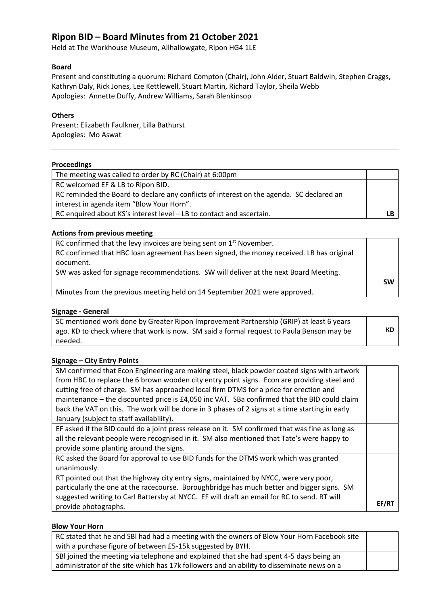# **Ripon BID – Board Minutes from 21 October 2021**

Held at The Workhouse Museum, Allhallowgate, Ripon HG4 1LE

# **Board**

Present and constituting a quorum: Richard Compton (Chair), John Alder, Stuart Baldwin, Stephen Craggs, Kathryn Daly, Rick Jones, Lee Kettlewell, Stuart Martin, Richard Taylor, Sheila Webb Apologies: Annette Duffy, Andrew Williams, Sarah Blenkinsop

# **Others**

Present: Elizabeth Faulkner, Lilla Bathurst Apologies: Mo Aswat

#### **Proceedings**

# **Actions from previous meeting**

| RC confirmed that the levy invoices are being sent on $1st$ November.                     |           |
|-------------------------------------------------------------------------------------------|-----------|
| RC confirmed that HBC loan agreement has been signed, the money received. LB has original |           |
| document.                                                                                 |           |
| SW was asked for signage recommendations. SW will deliver at the next Board Meeting.      |           |
|                                                                                           | <b>SW</b> |
| Minutes from the previous meeting held on 14 September 2021 were approved.                |           |

#### **Signage - General**

| SC mentioned work done by Greater Ripon Improvement Partnership (GRIP) at least 6 years  |  |
|------------------------------------------------------------------------------------------|--|
| ago. KD to check where that work is now. SM said a formal request to Paula Benson may be |  |
| needed.                                                                                  |  |

# **Signage – City Entry Points**

| SM confirmed that Econ Engineering are making steel, black powder coated signs with artwork     |       |
|-------------------------------------------------------------------------------------------------|-------|
| from HBC to replace the 6 brown wooden city entry point signs. Econ are providing steel and     |       |
| cutting free of charge. SM has approached local firm DTMS for a price for erection and          |       |
| maintenance - the discounted price is £4,050 inc VAT. SBa confirmed that the BID could claim    |       |
| back the VAT on this. The work will be done in 3 phases of 2 signs at a time starting in early  |       |
| January (subject to staff availability).                                                        |       |
| EF asked if the BID could do a joint press release on it. SM confirmed that was fine as long as |       |
| all the relevant people were recognised in it. SM also mentioned that Tate's were happy to      |       |
| provide some planting around the signs.                                                         |       |
| RC asked the Board for approval to use BID funds for the DTMS work which was granted            |       |
| unanimously.                                                                                    |       |
| RT pointed out that the highway city entry signs, maintained by NYCC, were very poor,           |       |
| particularly the one at the racecourse. Boroughbridge has much better and bigger signs. SM      |       |
| suggested writing to Carl Battersby at NYCC. EF will draft an email for RC to send. RT will     |       |
| provide photographs.                                                                            | EF/R1 |

#### **Blow Your Horn**

| RC stated that he and SBI had had a meeting with the owners of Blow Your Horn Facebook site |  |
|---------------------------------------------------------------------------------------------|--|
| with a purchase figure of between £5-15k suggested by BYH.                                  |  |
| SBI joined the meeting via telephone and explained that she had spent 4-5 days being an     |  |
| administrator of the site which has 17k followers and an ability to disseminate news on a   |  |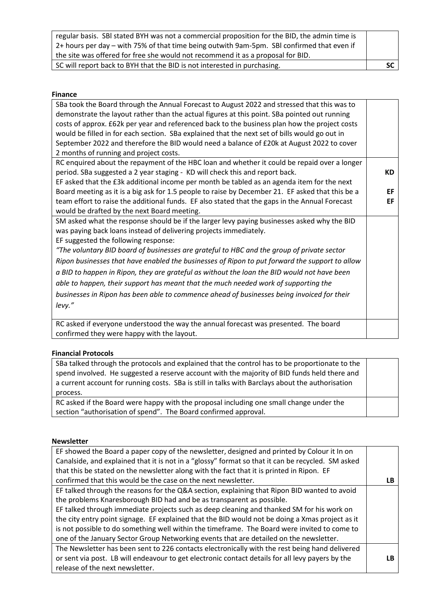| regular basis. SBI stated BYH was not a commercial proposition for the BID, the admin time is |  |
|-----------------------------------------------------------------------------------------------|--|
| 2+ hours per day – with 75% of that time being outwith 9am-5pm. SBI confirmed that even if    |  |
| the site was offered for free she would not recommend it as a proposal for BID.               |  |
| SC will report back to BYH that the BID is not interested in purchasing.                      |  |

# **Finance**

| SBa took the Board through the Annual Forecast to August 2022 and stressed that this was to      |     |
|--------------------------------------------------------------------------------------------------|-----|
| demonstrate the layout rather than the actual figures at this point. SBa pointed out running     |     |
| costs of approx. £62k per year and referenced back to the business plan how the project costs    |     |
| would be filled in for each section. SBa explained that the next set of bills would go out in    |     |
| September 2022 and therefore the BID would need a balance of £20k at August 2022 to cover        |     |
| 2 months of running and project costs.                                                           |     |
| RC enquired about the repayment of the HBC loan and whether it could be repaid over a longer     |     |
| period. SBa suggested a 2 year staging - KD will check this and report back.                     | KD. |
| EF asked that the £3k additional income per month be tabled as an agenda item for the next       |     |
| Board meeting as it is a big ask for 1.5 people to raise by December 21. EF asked that this be a | EF  |
| team effort to raise the additional funds. EF also stated that the gaps in the Annual Forecast   | EF  |
| would be drafted by the next Board meeting.                                                      |     |
| SM asked what the response should be if the larger levy paying businesses asked why the BID      |     |
| was paying back loans instead of delivering projects immediately.                                |     |
| EF suggested the following response:                                                             |     |
| "The voluntary BID board of businesses are grateful to HBC and the group of private sector       |     |
| Ripon businesses that have enabled the businesses of Ripon to put forward the support to allow   |     |
| a BID to happen in Ripon, they are grateful as without the loan the BID would not have been      |     |
| able to happen, their support has meant that the much needed work of supporting the              |     |
| businesses in Ripon has been able to commence ahead of businesses being invoiced for their       |     |
|                                                                                                  |     |
| levy."                                                                                           |     |
| RC asked if everyone understood the way the annual forecast was presented. The board             |     |
| confirmed they were happy with the layout.                                                       |     |

# **Financial Protocols**

| SBa talked through the protocols and explained that the control has to be proportionate to the   |  |
|--------------------------------------------------------------------------------------------------|--|
| spend involved. He suggested a reserve account with the majority of BID funds held there and     |  |
| a current account for running costs. SBa is still in talks with Barclays about the authorisation |  |
| process.                                                                                         |  |
| RC asked if the Board were happy with the proposal including one small change under the          |  |
| section "authorisation of spend". The Board confirmed approval.                                  |  |

# **Newsletter**

| EF showed the Board a paper copy of the newsletter, designed and printed by Colour it In on       |    |
|---------------------------------------------------------------------------------------------------|----|
| Canalside, and explained that it is not in a "glossy" format so that it can be recycled. SM asked |    |
| that this be stated on the newsletter along with the fact that it is printed in Ripon. EF         |    |
| confirmed that this would be the case on the next newsletter.                                     | LB |
| EF talked through the reasons for the Q&A section, explaining that Ripon BID wanted to avoid      |    |
| the problems Knaresborough BID had and be as transparent as possible.                             |    |
| EF talked through immediate projects such as deep cleaning and thanked SM for his work on         |    |
| the city entry point signage. EF explained that the BID would not be doing a Xmas project as it   |    |
| is not possible to do something well within the timeframe. The Board were invited to come to      |    |
| one of the January Sector Group Networking events that are detailed on the newsletter.            |    |
| The Newsletter has been sent to 226 contacts electronically with the rest being hand delivered    |    |
| or sent via post. LB will endeavour to get electronic contact details for all levy payers by the  | LB |
| release of the next newsletter.                                                                   |    |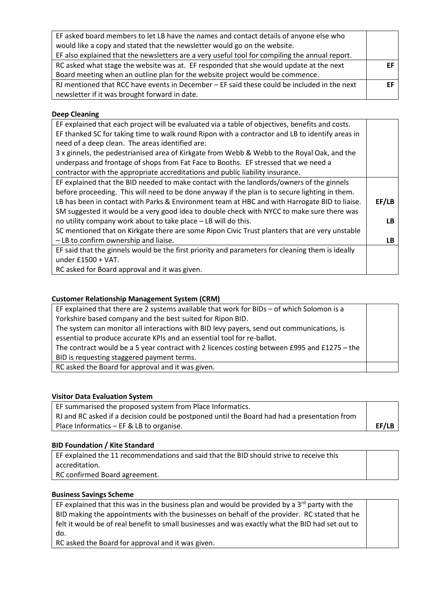| FF. |
|-----|
|     |
|     |

# **Deep Cleaning**

| EF thanked SC for taking time to walk round Ripon with a contractor and LB to identify areas in<br>need of a deep clean. The areas identified are:<br>3 x ginnels, the pedestrianised area of Kirkgate from Webb & Webb to the Royal Oak, and the<br>underpass and frontage of shops from Fat Face to Booths. EF stressed that we need a<br>contractor with the appropriate accreditations and public liability insurance.<br>EF explained that the BID needed to make contact with the landlords/owners of the ginnels<br>before proceeding. This will need to be done anyway if the plan is to secure lighting in them.<br>EF/LB<br>LB has been in contact with Parks & Environment team at HBC and with Harrogate BID to liaise.<br>SM suggested it would be a very good idea to double check with NYCC to make sure there was<br>no utility company work about to take place - LB will do this.<br>LB.<br>SC mentioned that on Kirkgate there are some Ripon Civic Trust planters that are very unstable<br>- LB to confirm ownership and liaise.<br>LB.<br>EF said that the ginnels would be the first priority and parameters for cleaning them is ideally<br>under $£1500 + VAT$ .<br>RC asked for Board approval and it was given. | EF explained that each project will be evaluated via a table of objectives, benefits and costs. |  |
|--------------------------------------------------------------------------------------------------------------------------------------------------------------------------------------------------------------------------------------------------------------------------------------------------------------------------------------------------------------------------------------------------------------------------------------------------------------------------------------------------------------------------------------------------------------------------------------------------------------------------------------------------------------------------------------------------------------------------------------------------------------------------------------------------------------------------------------------------------------------------------------------------------------------------------------------------------------------------------------------------------------------------------------------------------------------------------------------------------------------------------------------------------------------------------------------------------------------------------------------|-------------------------------------------------------------------------------------------------|--|
|                                                                                                                                                                                                                                                                                                                                                                                                                                                                                                                                                                                                                                                                                                                                                                                                                                                                                                                                                                                                                                                                                                                                                                                                                                            |                                                                                                 |  |
|                                                                                                                                                                                                                                                                                                                                                                                                                                                                                                                                                                                                                                                                                                                                                                                                                                                                                                                                                                                                                                                                                                                                                                                                                                            |                                                                                                 |  |
|                                                                                                                                                                                                                                                                                                                                                                                                                                                                                                                                                                                                                                                                                                                                                                                                                                                                                                                                                                                                                                                                                                                                                                                                                                            |                                                                                                 |  |
|                                                                                                                                                                                                                                                                                                                                                                                                                                                                                                                                                                                                                                                                                                                                                                                                                                                                                                                                                                                                                                                                                                                                                                                                                                            |                                                                                                 |  |
|                                                                                                                                                                                                                                                                                                                                                                                                                                                                                                                                                                                                                                                                                                                                                                                                                                                                                                                                                                                                                                                                                                                                                                                                                                            |                                                                                                 |  |
|                                                                                                                                                                                                                                                                                                                                                                                                                                                                                                                                                                                                                                                                                                                                                                                                                                                                                                                                                                                                                                                                                                                                                                                                                                            |                                                                                                 |  |
|                                                                                                                                                                                                                                                                                                                                                                                                                                                                                                                                                                                                                                                                                                                                                                                                                                                                                                                                                                                                                                                                                                                                                                                                                                            |                                                                                                 |  |
|                                                                                                                                                                                                                                                                                                                                                                                                                                                                                                                                                                                                                                                                                                                                                                                                                                                                                                                                                                                                                                                                                                                                                                                                                                            |                                                                                                 |  |
|                                                                                                                                                                                                                                                                                                                                                                                                                                                                                                                                                                                                                                                                                                                                                                                                                                                                                                                                                                                                                                                                                                                                                                                                                                            |                                                                                                 |  |
|                                                                                                                                                                                                                                                                                                                                                                                                                                                                                                                                                                                                                                                                                                                                                                                                                                                                                                                                                                                                                                                                                                                                                                                                                                            |                                                                                                 |  |
|                                                                                                                                                                                                                                                                                                                                                                                                                                                                                                                                                                                                                                                                                                                                                                                                                                                                                                                                                                                                                                                                                                                                                                                                                                            |                                                                                                 |  |
|                                                                                                                                                                                                                                                                                                                                                                                                                                                                                                                                                                                                                                                                                                                                                                                                                                                                                                                                                                                                                                                                                                                                                                                                                                            |                                                                                                 |  |
|                                                                                                                                                                                                                                                                                                                                                                                                                                                                                                                                                                                                                                                                                                                                                                                                                                                                                                                                                                                                                                                                                                                                                                                                                                            |                                                                                                 |  |
|                                                                                                                                                                                                                                                                                                                                                                                                                                                                                                                                                                                                                                                                                                                                                                                                                                                                                                                                                                                                                                                                                                                                                                                                                                            |                                                                                                 |  |
|                                                                                                                                                                                                                                                                                                                                                                                                                                                                                                                                                                                                                                                                                                                                                                                                                                                                                                                                                                                                                                                                                                                                                                                                                                            |                                                                                                 |  |

# **Customer Relationship Management System (CRM)**

| EF explained that there are 2 systems available that work for BIDs $-$ of which Solomon is a |  |
|----------------------------------------------------------------------------------------------|--|
| Yorkshire based company and the best suited for Ripon BID.                                   |  |
| The system can monitor all interactions with BID levy payers, send out communications, is    |  |
| essential to produce accurate KPIs and an essential tool for re-ballot.                      |  |
| The contract would be a 5 year contract with 2 licences costing between £995 and £1275 - the |  |
| BID is requesting staggered payment terms.                                                   |  |
| RC asked the Board for approval and it was given.                                            |  |

# **Visitor Data Evaluation System**

| EF summarised the proposed system from Place Informatics.                                    |       |
|----------------------------------------------------------------------------------------------|-------|
| RJ and RC asked if a decision could be postponed until the Board had had a presentation from |       |
| Place Informatics – EF & LB to organise.                                                     | EF/LB |
|                                                                                              |       |

# **BID Foundation / Kite Standard**

EF explained the 11 recommendations and said that the BID should strive to receive this accreditation.

RC confirmed Board agreement.

# **Business Savings Scheme**

EF explained that this was in the business plan and would be provided by a  $3<sup>rd</sup>$  party with the BID making the appointments with the businesses on behalf of the provider. RC stated that he felt it would be of real benefit to small businesses and was exactly what the BID had set out to do.

RC asked the Board for approval and it was given.